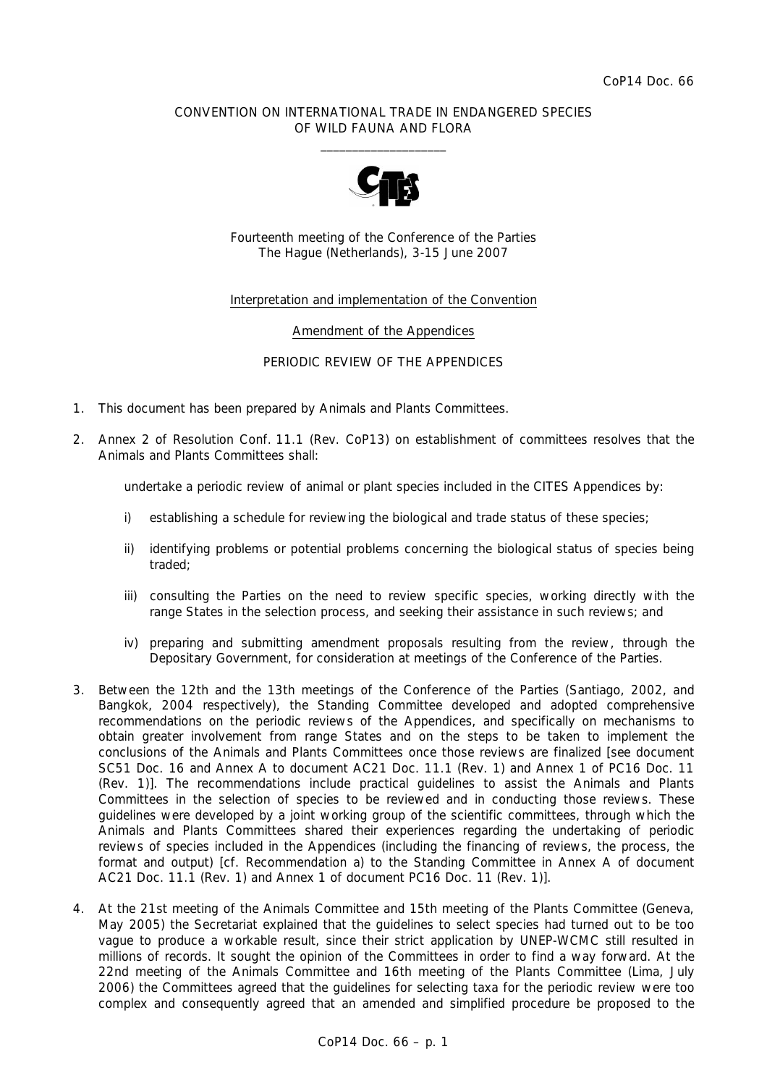### CONVENTION ON INTERNATIONAL TRADE IN ENDANGERED SPECIES OF WILD FAUNA AND FLORA  $\overline{\phantom{a}}$  , and the set of the set of the set of the set of the set of the set of the set of the set of the set of the set of the set of the set of the set of the set of the set of the set of the set of the set of the s



Fourteenth meeting of the Conference of the Parties The Hague (Netherlands), 3-15 June 2007

## Interpretation and implementation of the Convention

### Amendment of the Appendices

### PERIODIC REVIEW OF THE APPENDICES

- 1. This document has been prepared by Animals and Plants Committees.
- 2. Annex 2 of Resolution Conf. 11.1 (Rev. CoP13) on establishment of committees resolves that the Animals and Plants Committees shall:

 *undertake a periodic review of animal or plant species included in the CITES Appendices by:* 

- *i) establishing a schedule for reviewing the biological and trade status of these species;*
- *ii) identifying problems or potential problems concerning the biological status of species being traded;*
- iii) consulting the Parties on the need to review specific species, working directly with the *range States in the selection process, and seeking their assistance in such reviews; and*
- *iv) preparing and submitting amendment proposals resulting from the review, through the Depositary Government, for consideration at meetings of the Conference of the Parties.*
- 3. Between the 12th and the 13th meetings of the Conference of the Parties (Santiago, 2002, and Bangkok, 2004 respectively), the Standing Committee developed and adopted comprehensive recommendations on the periodic reviews of the Appendices, and specifically on mechanisms to obtain greater involvement from range States and on the steps to be taken to implement the conclusions of the Animals and Plants Committees once those reviews are finalized [see document SC51 Doc. 16 and Annex A to document AC21 Doc. 11.1 (Rev. 1) and Annex 1 of PC16 Doc. 11 (Rev. 1)]. The recommendations include practical guidelines to assist the Animals and Plants Committees in the selection of species to be reviewed and in conducting those reviews. These guidelines were developed by a joint working group of the scientific committees, through which the Animals and Plants Committees shared their experiences regarding the undertaking of periodic reviews of species included in the Appendices (including the financing of reviews, the process, the format and output) [cf. Recommendation a) to the Standing Committee in Annex A of document AC21 Doc. 11.1 (Rev. 1) and Annex 1 of document PC16 Doc. 11 (Rev. 1)].
- 4. At the 21st meeting of the Animals Committee and 15th meeting of the Plants Committee (Geneva, May 2005) the Secretariat explained that the guidelines to select species had turned out to be too vague to produce a workable result, since their strict application by UNEP-WCMC still resulted in millions of records. It sought the opinion of the Committees in order to find a way forward. At the 22nd meeting of the Animals Committee and 16th meeting of the Plants Committee (Lima, July 2006) the Committees agreed that the guidelines for selecting taxa for the periodic review were too complex and consequently agreed that an amended and simplified procedure be proposed to the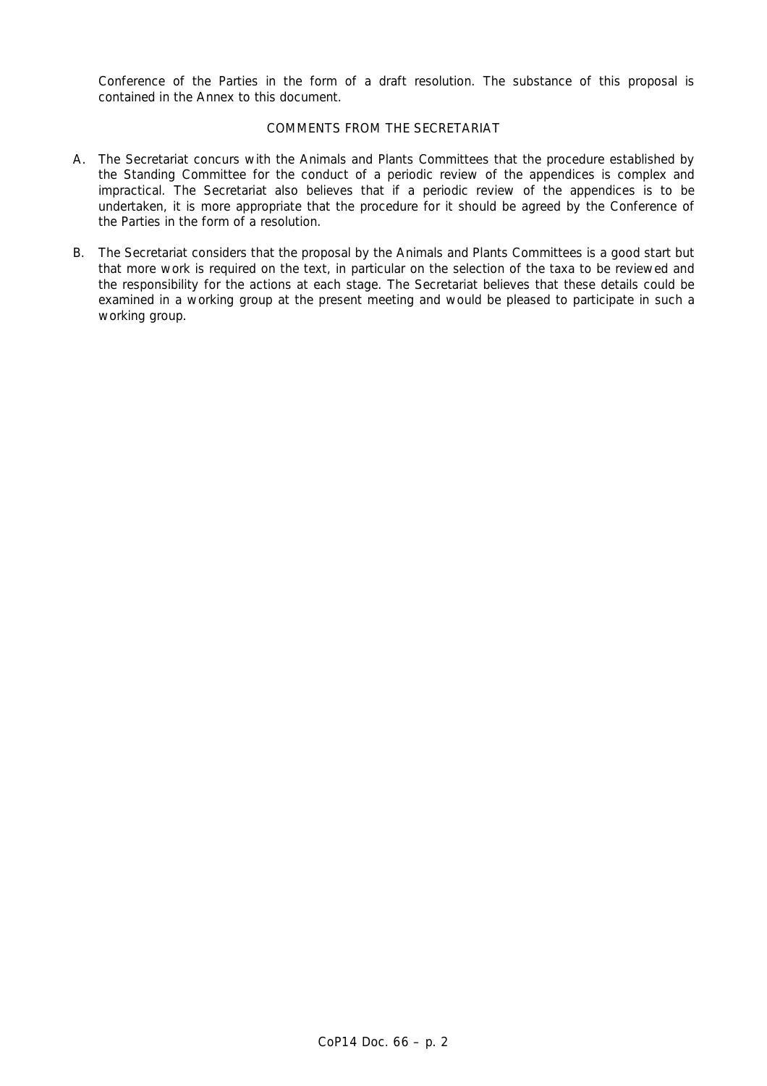Conference of the Parties in the form of a draft resolution. The substance of this proposal is contained in the Annex to this document.

# COMMENTS FROM THE SECRETARIAT

- A. The Secretariat concurs with the Animals and Plants Committees that the procedure established by the Standing Committee for the conduct of a periodic review of the appendices is complex and impractical. The Secretariat also believes that if a periodic review of the appendices is to be undertaken, it is more appropriate that the procedure for it should be agreed by the Conference of the Parties in the form of a resolution.
- B. The Secretariat considers that the proposal by the Animals and Plants Committees is a good start but that more work is required on the text, in particular on the selection of the taxa to be reviewed and the responsibility for the actions at each stage. The Secretariat believes that these details could be examined in a working group at the present meeting and would be pleased to participate in such a working group.